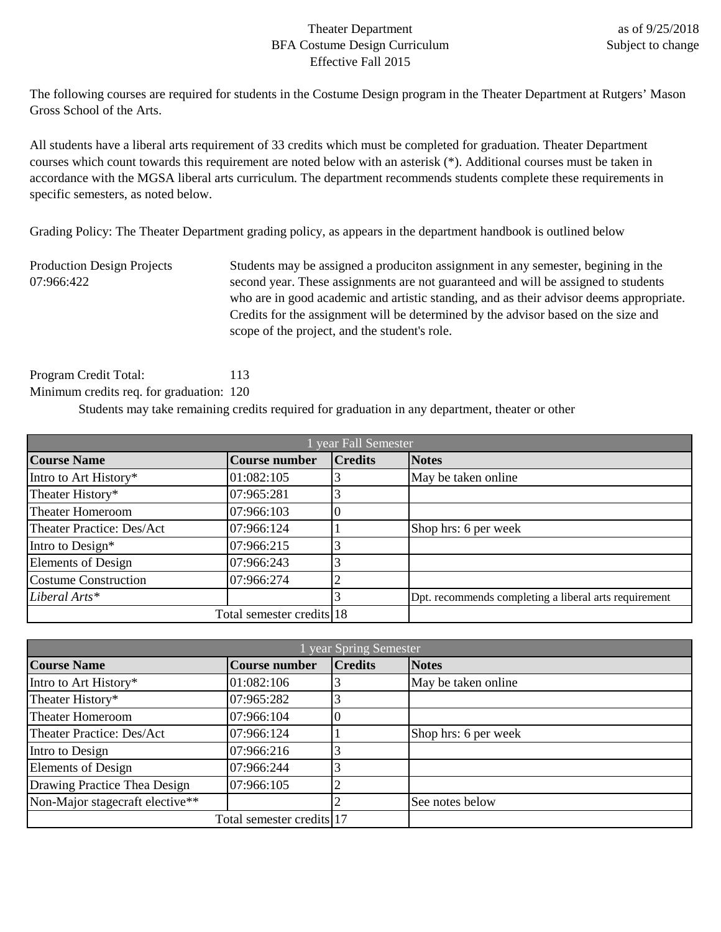## Theater Department BFA Costume Design Curriculum Effective Fall 2015

The following courses are required for students in the Costume Design program in the Theater Department at Rutgers' Mason Gross School of the Arts.

All students have a liberal arts requirement of 33 credits which must be completed for graduation. Theater Department courses which count towards this requirement are noted below with an asterisk (\*). Additional courses must be taken in accordance with the MGSA liberal arts curriculum. The department recommends students complete these requirements in specific semesters, as noted below.

Grading Policy: The Theater Department grading policy, as appears in the department handbook is outlined below

Production Design Projects 07:966:422 Students may be assigned a produciton assignment in any semester, begining in the second year. These assignments are not guaranteed and will be assigned to students who are in good academic and artistic standing, and as their advisor deems appropriate. Credits for the assignment will be determined by the advisor based on the size and scope of the project, and the student's role.

Program Credit Total: 113 Minimum credits req. for graduation: 120

Students may take remaining credits required for graduation in any department, theater or other

| year Fall Semester               |                           |                |                                                       |
|----------------------------------|---------------------------|----------------|-------------------------------------------------------|
| <b>Course Name</b>               | <b>Course number</b>      | <b>Credits</b> | <b>Notes</b>                                          |
| Intro to Art History*            | 01:082:105                |                | May be taken online                                   |
| Theater History*                 | 07:965:281                |                |                                                       |
| <b>Theater Homeroom</b>          | 07:966:103                |                |                                                       |
| <b>Theater Practice: Des/Act</b> | 07:966:124                |                | Shop hrs: 6 per week                                  |
| Intro to Design*                 | 07:966:215                |                |                                                       |
| <b>Elements of Design</b>        | 07:966:243                |                |                                                       |
| <b>Costume Construction</b>      | 07:966:274                |                |                                                       |
| Liberal Arts*                    |                           |                | Dpt. recommends completing a liberal arts requirement |
|                                  | Total semester credits 18 |                |                                                       |

| year Spring Semester            |                           |                |                      |
|---------------------------------|---------------------------|----------------|----------------------|
| <b>Course Name</b>              | <b>Course number</b>      | <b>Credits</b> | <b>Notes</b>         |
| Intro to Art History*           | 01:082:106                |                | May be taken online  |
| Theater History*                | 07:965:282                |                |                      |
| <b>Theater Homeroom</b>         | 07:966:104                |                |                      |
| Theater Practice: Des/Act       | 07:966:124                |                | Shop hrs: 6 per week |
| Intro to Design                 | 07:966:216                |                |                      |
| <b>Elements of Design</b>       | 07:966:244                |                |                      |
| Drawing Practice Thea Design    | 07:966:105                |                |                      |
| Non-Major stagecraft elective** |                           |                | See notes below      |
|                                 | Total semester credits 17 |                |                      |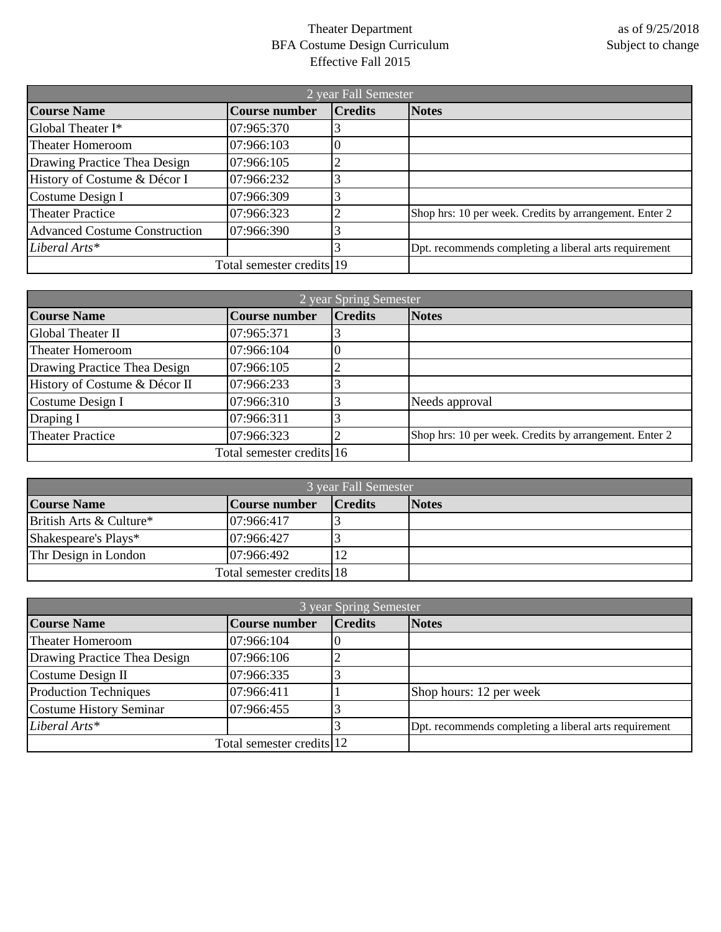## Theater Department BFA Costume Design Curriculum Effective Fall 2015

| 2 year Fall Semester                 |                           |                |                                                        |
|--------------------------------------|---------------------------|----------------|--------------------------------------------------------|
| <b>Course Name</b>                   | <b>Course number</b>      | <b>Credits</b> | <b>Notes</b>                                           |
| Global Theater I*                    | 07:965:370                |                |                                                        |
| <b>Theater Homeroom</b>              | 07:966:103                |                |                                                        |
| Drawing Practice Thea Design         | 07:966:105                |                |                                                        |
| History of Costume & Décor I         | 07:966:232                |                |                                                        |
| Costume Design I                     | 07:966:309                |                |                                                        |
| <b>Theater Practice</b>              | 07:966:323                |                | Shop hrs: 10 per week. Credits by arrangement. Enter 2 |
| <b>Advanced Costume Construction</b> | 07:966:390                |                |                                                        |
| Liberal Arts*                        |                           |                | Dpt. recommends completing a liberal arts requirement  |
|                                      | Total semester credits 19 |                |                                                        |

| 2 year Spring Semester        |                           |                |                                                        |
|-------------------------------|---------------------------|----------------|--------------------------------------------------------|
| <b>Course Name</b>            | <b>Course number</b>      | <b>Credits</b> | <b>Notes</b>                                           |
| Global Theater II             | 07:965:371                |                |                                                        |
| <b>Theater Homeroom</b>       | 07:966:104                |                |                                                        |
| Drawing Practice Thea Design  | 07:966:105                |                |                                                        |
| History of Costume & Décor II | 07:966:233                |                |                                                        |
| Costume Design I              | 07:966:310                |                | Needs approval                                         |
| Draping I                     | 07:966:311                |                |                                                        |
| <b>Theater Practice</b>       | 07:966:323                |                | Shop hrs: 10 per week. Credits by arrangement. Enter 2 |
|                               | Total semester credits 16 |                |                                                        |

| 3 year Fall Semester      |               |                |              |
|---------------------------|---------------|----------------|--------------|
| <b>Course Name</b>        | Course number | <b>Credits</b> | <b>Notes</b> |
| British Arts & Culture*   | 07:966:417    |                |              |
| Shakespeare's Plays*      | 07:966:427    |                |              |
| Thr Design in London      | 07:966:492    |                |              |
| Total semester credits 18 |               |                |              |

| 3 year Spring Semester       |                           |                |                                                       |
|------------------------------|---------------------------|----------------|-------------------------------------------------------|
| <b>Course Name</b>           | <b>Course number</b>      | <b>Credits</b> | <b>Notes</b>                                          |
| <b>Theater Homeroom</b>      | 07:966:104                |                |                                                       |
| Drawing Practice Thea Design | 07:966:106                |                |                                                       |
| Costume Design II            | 07:966:335                |                |                                                       |
| <b>Production Techniques</b> | 07:966:411                |                | Shop hours: 12 per week                               |
| Costume History Seminar      | 07:966:455                |                |                                                       |
| Liberal Arts*                |                           |                | Dpt. recommends completing a liberal arts requirement |
|                              | Total semester credits 12 |                |                                                       |